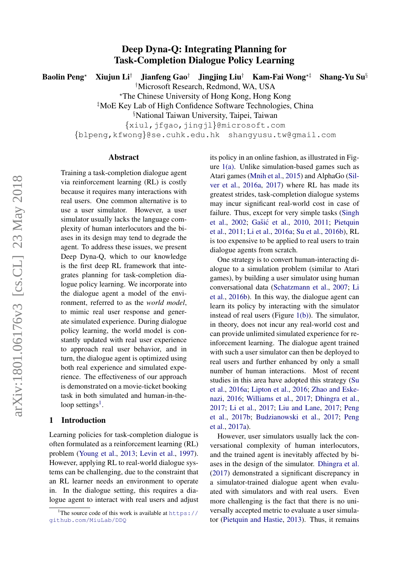# Deep Dyna-Q: Integrating Planning for Task-Completion Dialogue Policy Learning

Baolin Peng<sup>\*</sup> Xiujun Li<sup>†</sup> Jianfeng Gao<sup>†</sup> Jingjing Liu<sup>†</sup> Kam-Fai Wong<sup>\*†</sup> Shang-Yu Su<sup>§</sup>

†Microsoft Research, Redmond, WA, USA

?The Chinese University of Hong Kong, Hong Kong

‡MoE Key Lab of High Confidence Software Technologies, China

§National Taiwan University, Taipei, Taiwan

{xiul,jfgao,jingjl}@microsoft.com

{blpeng,kfwong}@se.cuhk.edu.hk shangyusu.tw@gmail.com

#### Abstract

Training a task-completion dialogue agent via reinforcement learning (RL) is costly because it requires many interactions with real users. One common alternative is to use a user simulator. However, a user simulator usually lacks the language complexity of human interlocutors and the biases in its design may tend to degrade the agent. To address these issues, we present Deep Dyna-Q, which to our knowledge is the first deep RL framework that integrates planning for task-completion dialogue policy learning. We incorporate into the dialogue agent a model of the environment, referred to as the *world model*, to mimic real user response and generate simulated experience. During dialogue policy learning, the world model is constantly updated with real user experience to approach real user behavior, and in turn, the dialogue agent is optimized using both real experience and simulated experience. The effectiveness of our approach is demonstrated on a movie-ticket booking task in both simulated and human-in-the-loop settings<sup>[1](#page-0-0)</sup>.

## 1 Introduction

Learning policies for task-completion dialogue is often formulated as a reinforcement learning (RL) problem [\(Young et al.,](#page-10-0) [2013;](#page-10-0) [Levin et al.,](#page-8-0) [1997\)](#page-8-0). However, applying RL to real-world dialogue systems can be challenging, due to the constraint that an RL learner needs an environment to operate in. In the dialogue setting, this requires a dialogue agent to interact with real users and adjust its policy in an online fashion, as illustrated in Figure [1\(a\).](#page-1-0) Unlike simulation-based games such as Atari games [\(Mnih et al.,](#page-9-0) [2015\)](#page-9-0) and AlphaGo [\(Sil](#page-9-1)[ver et al.,](#page-9-1) [2016a,](#page-9-1) [2017\)](#page-9-2) where RL has made its greatest strides, task-completion dialogue systems may incur significant real-world cost in case of failure. Thus, except for very simple tasks [\(Singh](#page-9-3) [et al.,](#page-9-3) [2002;](#page-9-3) Gašić et al., [2010,](#page-8-1) [2011;](#page-8-2) [Pietquin](#page-9-4) [et al.,](#page-9-4) [2011;](#page-9-4) [Li et al.,](#page-8-3) [2016a;](#page-8-3) [Su et al.,](#page-9-5) [2016b\)](#page-9-5), RL is too expensive to be applied to real users to train dialogue agents from scratch.

One strategy is to convert human-interacting dialogue to a simulation problem (similar to Atari games), by building a user simulator using human conversational data [\(Schatzmann et al.,](#page-9-6) [2007;](#page-9-6) [Li](#page-8-4) [et al.,](#page-8-4) [2016b\)](#page-8-4). In this way, the dialogue agent can learn its policy by interacting with the simulator instead of real users (Figure [1\(b\)\)](#page-1-1). The simulator, in theory, does not incur any real-world cost and can provide unlimited simulated experience for reinforcement learning. The dialogue agent trained with such a user simulator can then be deployed to real users and further enhanced by only a small number of human interactions. Most of recent studies in this area have adopted this strategy [\(Su](#page-9-7) [et al.,](#page-9-7) [2016a;](#page-9-7) [Lipton et al.,](#page-9-8) [2016;](#page-9-8) [Zhao and Eske](#page-10-1)[nazi,](#page-10-1) [2016;](#page-10-1) [Williams et al.,](#page-10-2) [2017;](#page-10-2) [Dhingra et al.,](#page-8-5) [2017;](#page-8-5) [Li et al.,](#page-9-9) [2017;](#page-9-9) [Liu and Lane,](#page-9-10) [2017;](#page-9-10) [Peng](#page-9-11) [et al.,](#page-9-11) [2017b;](#page-9-11) [Budzianowski et al.,](#page-8-6) [2017;](#page-8-6) [Peng](#page-9-12) [et al.,](#page-9-12) [2017a\)](#page-9-12).

However, user simulators usually lack the conversational complexity of human interlocutors, and the trained agent is inevitably affected by biases in the design of the simulator. [Dhingra et al.](#page-8-5) [\(2017\)](#page-8-5) demonstrated a significant discrepancy in a simulator-trained dialogue agent when evaluated with simulators and with real users. Even more challenging is the fact that there is no universally accepted metric to evaluate a user simulator [\(Pietquin and Hastie,](#page-9-13) [2013\)](#page-9-13). Thus, it remains

<span id="page-0-0"></span><sup>&</sup>lt;sup>1</sup>The source code of this work is available at  $https://$ [github.com/MiuLab/DDQ](https://github.com/MiuLab/DDQ)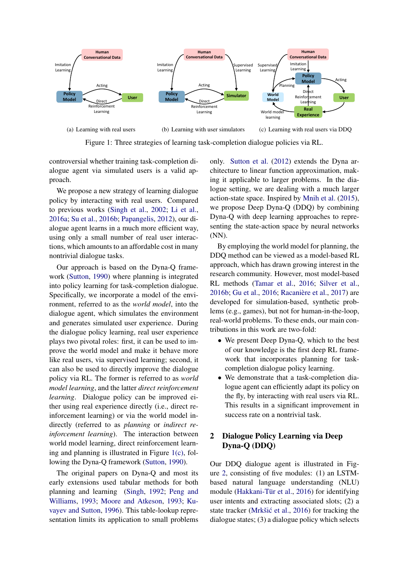<span id="page-1-0"></span>

Figure 1: Three strategies of learning task-completion dialogue policies via RL.

controversial whether training task-completion dialogue agent via simulated users is a valid approach.

We propose a new strategy of learning dialogue policy by interacting with real users. Compared to previous works [\(Singh et al.,](#page-9-3) [2002;](#page-9-3) [Li et al.,](#page-8-3) [2016a;](#page-8-3) [Su et al.,](#page-9-5) [2016b;](#page-9-5) [Papangelis,](#page-9-14) [2012\)](#page-9-14), our dialogue agent learns in a much more efficient way, using only a small number of real user interactions, which amounts to an affordable cost in many nontrivial dialogue tasks.

Our approach is based on the Dyna-Q framework [\(Sutton,](#page-10-3) [1990\)](#page-10-3) where planning is integrated into policy learning for task-completion dialogue. Specifically, we incorporate a model of the environment, referred to as the *world model*, into the dialogue agent, which simulates the environment and generates simulated user experience. During the dialogue policy learning, real user experience plays two pivotal roles: first, it can be used to improve the world model and make it behave more like real users, via supervised learning; second, it can also be used to directly improve the dialogue policy via RL. The former is referred to as *world model learning*, and the latter *direct reinforcement learning*. Dialogue policy can be improved either using real experience directly (i.e., direct reinforcement learning) or via the world model indirectly (referred to as *planning* or *indirect reinforcement learning*). The interaction between world model learning, direct reinforcement learning and planning is illustrated in Figure  $1(c)$ , following the Dyna-Q framework [\(Sutton,](#page-10-3) [1990\)](#page-10-3).

The original papers on Dyna-Q and most its early extensions used tabular methods for both planning and learning [\(Singh,](#page-9-15) [1992;](#page-9-15) [Peng and](#page-9-16) [Williams,](#page-9-16) [1993;](#page-9-16) [Moore and Atkeson,](#page-9-17) [1993;](#page-9-17) [Ku](#page-8-7)[vayev and Sutton,](#page-8-7) [1996\)](#page-8-7). This table-lookup representation limits its application to small problems <span id="page-1-2"></span><span id="page-1-1"></span>only. [Sutton et al.](#page-10-4) [\(2012\)](#page-10-4) extends the Dyna architecture to linear function approximation, making it applicable to larger problems. In the dialogue setting, we are dealing with a much larger action-state space. Inspired by [Mnih et al.](#page-9-0) [\(2015\)](#page-9-0), we propose Deep Dyna-Q (DDQ) by combining Dyna-Q with deep learning approaches to representing the state-action space by neural networks (NN).

By employing the world model for planning, the DDQ method can be viewed as a model-based RL approach, which has drawn growing interest in the research community. However, most model-based RL methods [\(Tamar et al.,](#page-10-5) [2016;](#page-10-5) [Silver et al.,](#page-9-18) [2016b;](#page-9-18) [Gu et al.,](#page-8-8) [2016;](#page-8-8) Racanière et al., [2017\)](#page-9-19) are developed for simulation-based, synthetic problems (e.g., games), but not for human-in-the-loop, real-world problems. To these ends, our main contributions in this work are two-fold:

- We present Deep Dyna-Q, which to the best of our knowledge is the first deep RL framework that incorporates planning for taskcompletion dialogue policy learning.
- We demonstrate that a task-completion dialogue agent can efficiently adapt its policy on the fly, by interacting with real users via RL. This results in a significant improvement in success rate on a nontrivial task.

# 2 Dialogue Policy Learning via Deep Dyna-Q (DDQ)

Our DDQ dialogue agent is illustrated in Figure [2,](#page-2-0) consisting of five modules: (1) an LSTMbased natural language understanding (NLU) module (Hakkani-Tür et al., [2016\)](#page-8-9) for identifying user intents and extracting associated slots; (2) a state tracker (Mrkšić et al., [2016\)](#page-9-20) for tracking the dialogue states; (3) a dialogue policy which selects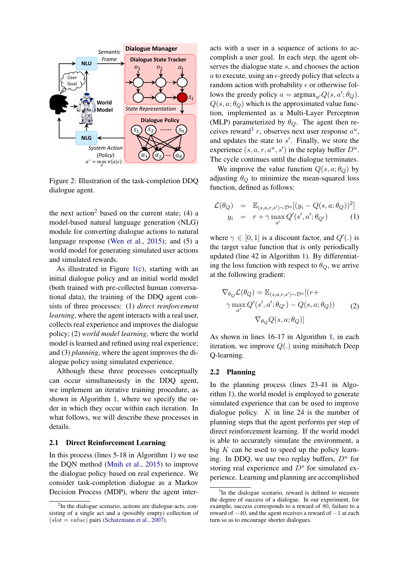

<span id="page-2-0"></span>Figure 2: Illustration of the task-completion DDQ dialogue agent.

the next action<sup>[2](#page-2-1)</sup> based on the current state;  $(4)$  a model-based natural language generation (NLG) module for converting dialogue actions to natural language response [\(Wen et al.,](#page-10-6) [2015\)](#page-10-6); and (5) a world model for generating simulated user actions and simulated rewards.

As illustrated in Figure [1\(c\),](#page-1-2) starting with an initial dialogue policy and an initial world model (both trained with pre-collected human conversational data), the training of the DDQ agent consists of three processes: (1) *direct reinforcement learning*, where the agent interacts with a real user, collects real experience and improves the dialogue policy; (2) *world model learning*, where the world model is learned and refined using real experience; and (3) *planning*, where the agent improves the dialogue policy using simulated experience.

Although these three processes conceptually can occur simultaneously in the DDQ agent, we implement an iterative training procedure, as shown in Algorithm [1,](#page-3-0) where we specify the order in which they occur within each iteration. In what follows, we will describe these processes in details.

#### 2.1 Direct Reinforcement Learning

In this process (lines 5-18 in Algorithm [1\)](#page-3-0) we use the DQN method [\(Mnih et al.,](#page-9-0) [2015\)](#page-9-0) to improve the dialogue policy based on real experience. We consider task-completion dialogue as a Markov Decision Process (MDP), where the agent interacts with a user in a sequence of actions to accomplish a user goal. In each step, the agent observes the dialogue state s, and chooses the action a to execute, using an  $\epsilon$ -greedy policy that selects a random action with probability  $\epsilon$  or otherwise follows the greedy policy  $a = \text{argmax}_{a'} Q(s, a'; \theta_Q)$ .  $Q(s, a; \theta_{Q})$  which is the approximated value function, implemented as a Multi-Layer Perceptron (MLP) parameterized by  $\theta_Q$ . The agent then re-ceives reward<sup>[3](#page-2-2)</sup> r, observes next user response  $a^u$ , and updates the state to  $s'$ . Finally, we store the experience  $(s, a, r, a^u, s')$  in the replay buffer  $D^u$ . The cycle continues until the dialogue terminates.

We improve the value function  $Q(s, a; \theta_Q)$  by adjusting  $\theta_{\mathcal{Q}}$  to minimize the mean-squared loss function, defined as follows:

$$
\mathcal{L}(\theta_Q) = \mathbb{E}_{(s,a,r,s') \sim \mathcal{D}^u} [(y_i - Q(s,a;\theta_Q))^2]
$$
  

$$
y_i = r + \gamma \max_{a'} Q'(s',a';\theta_{Q'})
$$
 (1)

where  $\gamma \in [0, 1]$  is a discount factor, and  $Q'(.)$  is the target value function that is only periodically updated (line 42 in Algorithm [1\)](#page-3-0). By differentiating the loss function with respect to  $\theta_{Q}$ , we arrive at the following gradient:

<span id="page-2-3"></span>
$$
\nabla_{\theta_Q} \mathcal{L}(\theta_Q) = \mathbb{E}_{(s,a,r,s') \sim \mathcal{D}^u}[(r+\gamma \max_{a'} Q'(s',a';\theta_{Q'}) - Q(s,a;\theta_Q))
$$
\n
$$
\nabla_{\theta_Q} Q(s,a;\theta_Q)]
$$
\n(2)

As shown in lines 16-17 in Algorithm [1,](#page-3-0) in each iteration, we improve  $Q(.)$  using minibatch Deep Q-learning.

#### 2.2 Planning

In the planning process (lines 23-41 in Algorithm [1\)](#page-3-0), the world model is employed to generate simulated experience that can be used to improve dialogue policy.  $K$  in line 24 is the number of planning steps that the agent performs per step of direct reinforcement learning. If the world model is able to accurately simulate the environment, a big  $K$  can be used to speed up the policy learning. In DDQ, we use two replay buffers,  $D^u$  for storing real experience and  $D<sup>s</sup>$  for simulated experience. Learning and planning are accomplished

<span id="page-2-1"></span><sup>&</sup>lt;sup>2</sup>In the dialogue scenario, actions are dialogue-acts, consisting of a single act and a (possibly empty) collection of  $(slot = value)$  pairs [\(Schatzmann et al.,](#page-9-6) [2007\)](#page-9-6).

<span id="page-2-2"></span><sup>&</sup>lt;sup>3</sup>In the dialogue scenario, reward is defined to measure the degree of success of a dialogue. In our experiment, for example, success corresponds to a reward of 80, failure to a reward of −40, and the agent receives a reward of −1 at each turn so as to encourage shorter dialogues.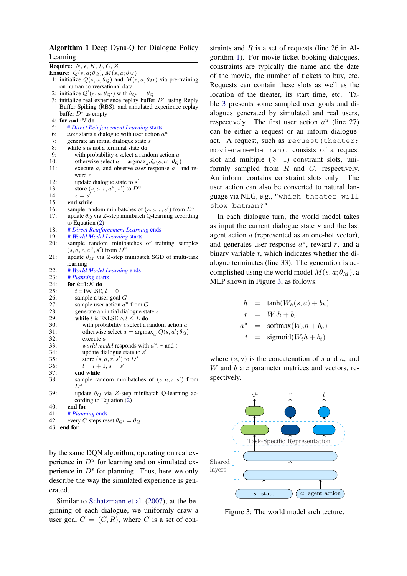#### Algorithm 1 Deep Dyna-Q for Dialogue Policy Learning

Require:  $N, \epsilon, K, L, C, Z$ Ensure:  $Q(s, a; \theta_{Q}), M(s, a; \theta_{M})$ 1: initialize  $Q(s, a; \theta_{Q})$  and  $M(s, a; \theta_{M})$  via pre-training on human conversational data 2: initialize  $Q'(s, a; \theta_{Q'})$  with  $\theta_{Q'} = \theta_Q$ 3: initialize real experience replay buffer  $D^u$  using Reply Buffer Spiking (RBS), and simulated experience replay buffer  $\overline{D}^s$  as empty 4: for  $n=1:N$  do<br>5: # Direct Re 5: # *Direct Reinforcement Learning* starts 6: *user* starts a dialogue with user action  $a^u$ 7: generate an initial dialogue state s<br>8. while s is not a terminal state do while  $s$  is not a terminal state do 9: with probability  $\epsilon$  select a random action a<br>10: otherwise select  $a = \text{argmax}_{\epsilon} Q(s, a'; \theta)$ 10: otherwise select  $a = \text{argmax}_{a'} Q(s, a'; \theta_Q)$ 11: execute  $a$ , and observe *user* response  $a^u$  and reward r 12: update dialogue state to  $s'$ 13: store  $(s, a, r, a^u, s')$  to  $D^u$ 14:  $s = s$ Ì 15: end while 16: sample random minibatches of  $(s, a, r, s')$  from  $D^u$ 17: update  $\theta_{\mathcal{Q}}$  via Z-step minibatch Q-learning according to Equation [\(2\)](#page-2-3) 18: # *Direct Reinforcement Learning* ends 19: # *World Model Learning* starts<br>20: sample random minibatches sample random minibatches of training samples  $(s, a, r, a^u, s')$  from  $D^u$ 21: update  $\theta_M$  via Z-step minibatch SGD of multi-task learning 22: # *World Model Learning* ends 23: # *Planning* starts 24: for  $k=1:K$  do<br>25:  $t = \text{FALSE.}$  $t =$ FALSE,  $l = 0$ 26: sample a user goal  $G$ 27: sample user action  $a^u$  from  $G$ 28: generate an initial dialogue state s<br>29: **while** t is FALSE  $\land l \leq L$  **do** while t is FALSE  $\wedge l \leq L$  do 30: with probability  $\epsilon$  select a random action  $\alpha$ 31: otherwise select  $a = \text{argmax}_{a'} Q(s, a'; \theta_Q)$  $32:$  execute a 33: *world model* responds with  $a^u$ , r and t 34: update dialogue state to  $s'$ 35: store  $(s, a, r, s')$  to  $D^s$ 36:  $l = l + 1, s = s'$ 37: end while 38: sample random minibatches of  $(s, a, r, s')$  from  $D^s$ 39: update  $\theta_{\mathcal{Q}}$  via Z-step minibatch Q-learning according to Equation [\(2\)](#page-2-3) 40: end for 41: # *Planning* ends 42: every C steps reset  $\theta_{Q'} = \theta_Q$ 43: end for

<span id="page-3-0"></span>by the same DQN algorithm, operating on real experience in  $D^u$  for learning and on simulated experience in  $D<sup>s</sup>$  for planning. Thus, here we only describe the way the simulated experience is generated.

Similar to [Schatzmann et al.](#page-9-6) [\(2007\)](#page-9-6), at the beginning of each dialogue, we uniformly draw a user goal  $G = (C, R)$ , where C is a set of con-

straints and  $R$  is a set of requests (line 26 in Algorithm [1\)](#page-3-0). For movie-ticket booking dialogues, constraints are typically the name and the date of the movie, the number of tickets to buy, etc. Requests can contain these slots as well as the location of the theater, its start time, etc. Table [3](#page-7-0) presents some sampled user goals and dialogues generated by simulated and real users, respectively. The first user action  $a^u$  (line 27) can be either a request or an inform dialogueact. A request, such as request (theater; moviename=batman), consists of a request slot and multiple  $(\geq 1)$  constraint slots, uniformly sampled from  $R$  and  $C$ , respectively. An inform contains constraint slots only. The user action can also be converted to natural language via NLG, e.g., "which theater will show batman?"

In each dialogue turn, the world model takes as input the current dialogue state s and the last agent action a (represented as an one-hot vector), and generates user response  $a^u$ , reward r, and a binary variable  $t$ , which indicates whether the dialogue terminates (line 33). The generation is accomplished using the world model  $M(s, a; \theta_M)$ , a MLP shown in Figure [3,](#page-3-1) as follows:

$$
h = \tanh(W_h(s, a) + b_h)
$$
  
\n
$$
r = W_r h + b_r
$$
  
\n
$$
a^u = \text{softmax}(W_a h + b_a)
$$
  
\n
$$
t = \text{sigmoid}(W_t h + b_t)
$$

where  $(s, a)$  is the concatenation of s and a, and W and b are parameter matrices and vectors, respectively.



<span id="page-3-1"></span>Figure 3: The world model architecture.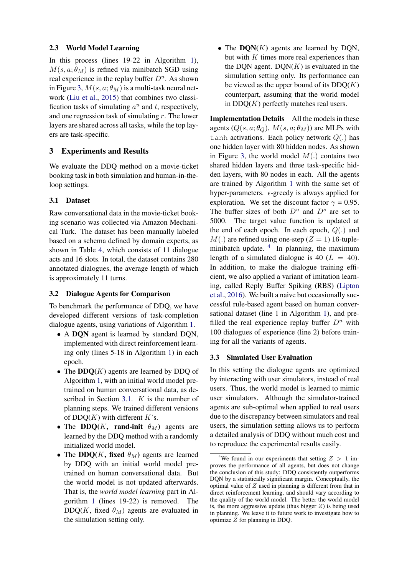#### 2.3 World Model Learning

In this process (lines 19-22 in Algorithm [1\)](#page-3-0),  $M(s, a; \theta_M)$  is refined via minibatch SGD using real experience in the replay buffer  $D^u$ . As shown in Figure [3,](#page-3-1)  $M(s, a; \theta_M)$  is a multi-task neural network [\(Liu et al.,](#page-9-21) [2015\)](#page-9-21) that combines two classification tasks of simulating  $a^u$  and t, respectively, and one regression task of simulating  $r$ . The lower layers are shared across all tasks, while the top layers are task-specific.

# 3 Experiments and Results

We evaluate the DDQ method on a movie-ticket booking task in both simulation and human-in-theloop settings.

#### <span id="page-4-0"></span>3.1 Dataset

Raw conversational data in the movie-ticket booking scenario was collected via Amazon Mechanical Turk. The dataset has been manually labeled based on a schema defined by domain experts, as shown in Table [4,](#page-10-7) which consists of 11 dialogue acts and 16 slots. In total, the dataset contains 280 annotated dialogues, the average length of which is approximately 11 turns.

#### 3.2 Dialogue Agents for Comparison

To benchmark the performance of DDQ, we have developed different versions of task-completion dialogue agents, using variations of Algorithm [1.](#page-3-0)

- A DON agent is learned by standard DON, implemented with direct reinforcement learning only (lines 5-18 in Algorithm [1\)](#page-3-0) in each epoch.
- The  $DDQ(K)$  agents are learned by DDQ of Algorithm [1,](#page-3-0) with an initial world model pretrained on human conversational data, as de-scribed in Section [3.1.](#page-4-0) K is the number of planning steps. We trained different versions of  $DDQ(K)$  with different K's.
- The DDQ(K, rand-init  $\theta_M$ ) agents are learned by the DDQ method with a randomly initialized world model.
- The DDQ(K, fixed  $\theta_M$ ) agents are learned by DDQ with an initial world model pretrained on human conversational data. But the world model is not updated afterwards. That is, the *world model learning* part in Algorithm [1](#page-3-0) (lines 19-22) is removed. The DDQ(K, fixed  $\theta_M$ ) agents are evaluated in the simulation setting only.

• The  $DON(K)$  agents are learned by DQN, but with  $K$  times more real experiences than the DQN agent.  $DQN(K)$  is evaluated in the simulation setting only. Its performance can be viewed as the upper bound of its  $DDQ(K)$ counterpart, assuming that the world model in  $DDQ(K)$  perfectly matches real users.

Implementation Details All the models in these agents  $(Q(s, a; \theta_{Q}), M(s, a; \theta_{M}))$  are MLPs with tanh activations. Each policy network  $Q(.)$  has one hidden layer with 80 hidden nodes. As shown in Figure [3,](#page-3-1) the world model  $M(.)$  contains two shared hidden layers and three task-specific hidden layers, with 80 nodes in each. All the agents are trained by Algorithm [1](#page-3-0) with the same set of hyper-parameters.  $\epsilon$ -greedy is always applied for exploration. We set the discount factor  $\gamma = 0.95$ . The buffer sizes of both  $D^u$  and  $D^s$  are set to 5000. The target value function is updated at the end of each epoch. In each epoch,  $Q(.)$  and  $M(.)$  are refined using one-step ( $Z = 1$ ) 16-tuple-minibatch update. <sup>[4](#page-4-1)</sup> In planning, the maximum length of a simulated dialogue is 40 ( $L = 40$ ). In addition, to make the dialogue training efficient, we also applied a variant of imitation learning, called Reply Buffer Spiking (RBS) [\(Lipton](#page-9-8) [et al.,](#page-9-8) [2016\)](#page-9-8). We built a naive but occasionally successful rule-based agent based on human conversational dataset (line 1 in Algorithm [1\)](#page-3-0), and prefilled the real experience replay buffer  $D^u$  with 100 dialogues of experience (line 2) before training for all the variants of agents.

#### 3.3 Simulated User Evaluation

In this setting the dialogue agents are optimized by interacting with user simulators, instead of real users. Thus, the world model is learned to mimic user simulators. Although the simulator-trained agents are sub-optimal when applied to real users due to the discrepancy between simulators and real users, the simulation setting allows us to perform a detailed analysis of DDQ without much cost and to reproduce the experimental results easily.

<span id="page-4-1"></span><sup>&</sup>lt;sup>4</sup>We found in our experiments that setting  $Z > 1$  improves the performance of all agents, but does not change the conclusion of this study: DDQ consistently outperforms DQN by a statistically significant margin. Conceptually, the optimal value of  $Z$  used in planning is different from that in direct reinforcement learning, and should vary according to the quality of the world model. The better the world model is, the more aggressive update (thus bigger  $Z$ ) is being used in planning. We leave it to future work to investigate how to optimize Z for planning in DDQ.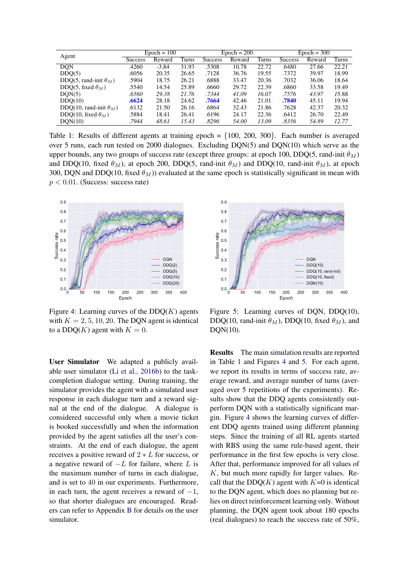| Agent                          | $Epoch = 100$ |         |       | $Epoch = 200$  |        |       | $Epoch = 300$  |        |       |
|--------------------------------|---------------|---------|-------|----------------|--------|-------|----------------|--------|-------|
|                                | Success       | Reward  | Turns | <b>Success</b> | Reward | Turns | <b>Success</b> | Reward | Turns |
| <b>DQN</b>                     | .4260         | $-3.84$ | 31.93 | .5308          | 10.78  | 22.72 | .6480          | 27.66  | 22.21 |
| DDO(5)                         | .6056         | 20.35   | 26.65 | .7128          | 36.76  | 19.55 | .7372          | 39.97  | 18.99 |
| DDO(5, rand-init $\theta_M$ )  | .5904         | 18.75   | 26.21 | .6888          | 33.47  | 20.36 | .7032          | 36.06  | 18.64 |
| DDO(5, fixed $\theta_M$ )      | .5540         | 14.54   | 25.89 | .6660          | 29.72  | 22.39 | .6860          | 33.58  | 19.49 |
| DON(5)                         | .6560         | 29.38   | 21.76 | .7344          | 41.09  | 16.07 | .7576          | 43.97  | 15.88 |
| DDO(10)                        | .6624         | 28.18   | 24.62 | .7664          | 42.46  | 21.01 | .7840          | 45.11  | 19.94 |
| DDO(10, rand-init $\theta_M$ ) | .6132         | 21.50   | 26.16 | .6864          | 32.43  | 21.86 | .7628          | 42.37  | 20.32 |
| DDO(10, fixed $\theta_M$ )     | .5884         | 18.41   | 26.41 | .6196          | 24.17  | 22.36 | .6412          | 26.70  | 22.49 |
| DON(10)                        | .7944         | 48.61   | 15.43 | .8296          | 54.00  | 13.09 | .8356          | 54.89  | 12.77 |

<span id="page-5-0"></span>Table 1: Results of different agents at training epoch  $= \{100, 200, 300\}$ . Each number is averaged over 5 runs, each run tested on 2000 dialogues. Excluding DQN(5) and DQN(10) which serve as the upper bounds, any two groups of success rate (except three groups: at epoch 100, DDQ(5, rand-init  $\theta_M$ ) and DDQ(10, fixed  $\theta_M$ ), at epoch 200, DDQ(5, rand-init  $\theta_M$ ) and DDQ(10, rand-init  $\theta_M$ ), at epoch 300, DQN and DDQ(10, fixed  $\theta_M$ )) evaluated at the same epoch is statistically significant in mean with  $p < 0.01$ . (Success: success rate)



<span id="page-5-1"></span>Figure 4: Learning curves of the  $DDQ(K)$  agents with  $K = 2, 5, 10, 20$ . The DQN agent is identical to a DDQ(K) agent with  $K = 0$ .

User Simulator We adapted a publicly available user simulator [\(Li et al.,](#page-8-4) [2016b\)](#page-8-4) to the taskcompletion dialogue setting. During training, the simulator provides the agent with a simulated user response in each dialogue turn and a reward signal at the end of the dialogue. A dialogue is considered successful only when a movie ticket is booked successfully and when the information provided by the agent satisfies all the user's constraints. At the end of each dialogue, the agent receives a positive reward of  $2 * L$  for success, or a negative reward of  $-L$  for failure, where L is the maximum number of turns in each dialogue, and is set to 40 in our experiments. Furthermore, in each turn, the agent receives a reward of  $-1$ , so that shorter dialogues are encouraged. Readers can refer to Appendix [B](#page-10-8) for details on the user simulator.



<span id="page-5-2"></span>Figure 5: Learning curves of DQN, DDQ(10), DDQ(10, rand-init  $\theta_M$ ), DDQ(10, fixed  $\theta_M$ ), and DQN(10).

Results The main simulation results are reported in Table [1](#page-5-0) and Figures [4](#page-5-1) and [5.](#page-5-2) For each agent, we report its results in terms of success rate, average reward, and average number of turns (averaged over 5 repetitions of the experiments). Results show that the DDQ agents consistently outperform DQN with a statistically significant margin. Figure [4](#page-5-1) shows the learning curves of different DDQ agents trained using different planning steps. Since the training of all RL agents started with RBS using the same rule-based agent, their performance in the first few epochs is very close. After that, performance improved for all values of  $K$ , but much more rapidly for larger values. Recall that the DDQ( $K$ ) agent with  $K=0$  is identical to the DQN agent, which does no planning but relies on direct reinforcement learning only. Without planning, the DQN agent took about 180 epochs (real dialogues) to reach the success rate of 50%,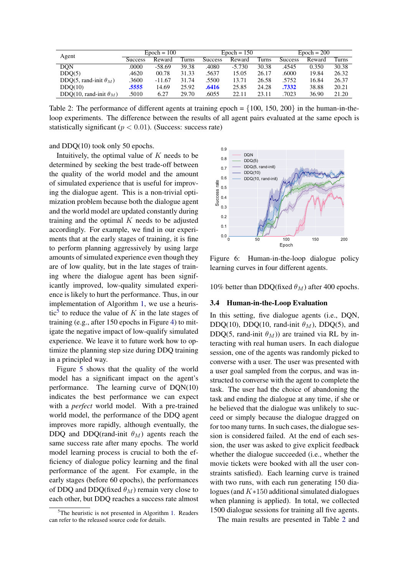| Agent                          | $Epoch = 100$  |          |       | $Epoch = 150$  |          |       | $Epoch = 200$  |        |       |
|--------------------------------|----------------|----------|-------|----------------|----------|-------|----------------|--------|-------|
|                                | <b>Success</b> | Reward   | Turns | <b>Success</b> | Reward   | Turns | <b>Success</b> | Reward | Turns |
| <b>DON</b>                     | .0000          | $-58.69$ | 39.38 | .4080          | $-5.730$ | 30.38 | .4545          | 0.350  | 30.38 |
| DDO(5)                         | .4620          | 00.78    | 31.33 | .5637          | 15.05    | 26.17 | .6000          | 19.84  | 26.32 |
| DDQ(5, rand-init $\theta_M$ )  | .3600          | $-11.67$ | 31.74 | .5500          | 13.71    | 26.58 | .5752          | 16.84  | 26.37 |
| DDO(10)                        | .5555          | 14.69    | 25.92 | .6416          | 25.85    | 24.28 | .7332          | 38.88  | 20.21 |
| DDO(10, rand-init $\theta_M$ ) | .5010          | 6.27     | 29.70 | .6055          | 22.11    | 23.11 | .7023          | 36.90  | 21.20 |

<span id="page-6-1"></span>Table 2: The performance of different agents at training epoch =  $\{100, 150, 200\}$  in the human-in-theloop experiments. The difference between the results of all agent pairs evaluated at the same epoch is statistically significant ( $p < 0.01$ ). (Success: success rate)

and DDQ(10) took only 50 epochs.

Intuitively, the optimal value of  $K$  needs to be determined by seeking the best trade-off between the quality of the world model and the amount of simulated experience that is useful for improving the dialogue agent. This is a non-trivial optimization problem because both the dialogue agent and the world model are updated constantly during training and the optimal  $K$  needs to be adjusted accordingly. For example, we find in our experiments that at the early stages of training, it is fine to perform planning aggressively by using large amounts of simulated experience even though they are of low quality, but in the late stages of training where the dialogue agent has been significantly improved, low-quality simulated experience is likely to hurt the performance. Thus, in our implementation of Algorithm [1,](#page-3-0) we use a heuris-tic<sup>[5](#page-6-0)</sup> to reduce the value of  $K$  in the late stages of training (e.g., after 150 epochs in Figure [4\)](#page-5-1) to mitigate the negative impact of low-qualify simulated experience. We leave it to future work how to optimize the planning step size during DDQ training in a principled way.

Figure [5](#page-5-2) shows that the quality of the world model has a significant impact on the agent's performance. The learning curve of DQN(10) indicates the best performance we can expect with a *perfect* world model. With a pre-trained world model, the performance of the DDQ agent improves more rapidly, although eventually, the DDQ and DDQ(rand-init  $\theta_M$ ) agents reach the same success rate after many epochs. The world model learning process is crucial to both the efficiency of dialogue policy learning and the final performance of the agent. For example, in the early stages (before 60 epochs), the performances of DDQ and DDQ(fixed  $\theta_M$ ) remain very close to each other, but DDQ reaches a success rate almost



<span id="page-6-2"></span>Figure 6: Human-in-the-loop dialogue policy learning curves in four different agents.

10% better than DDQ(fixed  $\theta_M$ ) after 400 epochs.

#### 3.4 Human-in-the-Loop Evaluation

In this setting, five dialogue agents (i.e., DQN, DDQ(10), DDQ(10, rand-init  $\theta_M$ ), DDQ(5), and DDQ(5, rand-init  $\theta_M$ )) are trained via RL by interacting with real human users. In each dialogue session, one of the agents was randomly picked to converse with a user. The user was presented with a user goal sampled from the corpus, and was instructed to converse with the agent to complete the task. The user had the choice of abandoning the task and ending the dialogue at any time, if she or he believed that the dialogue was unlikely to succeed or simply because the dialogue dragged on for too many turns. In such cases, the dialogue session is considered failed. At the end of each session, the user was asked to give explicit feedback whether the dialogue succeeded (i.e., whether the movie tickets were booked with all the user constraints satisfied). Each learning curve is trained with two runs, with each run generating 150 dialogues (and  $K*150$  additional simulated dialogues when planning is applied). In total, we collected 1500 dialogue sessions for training all five agents.

The main results are presented in Table [2](#page-6-1) and

<span id="page-6-0"></span> $5$ The heuristic is not presented in Algorithm [1.](#page-3-0) Readers can refer to the released source code for details.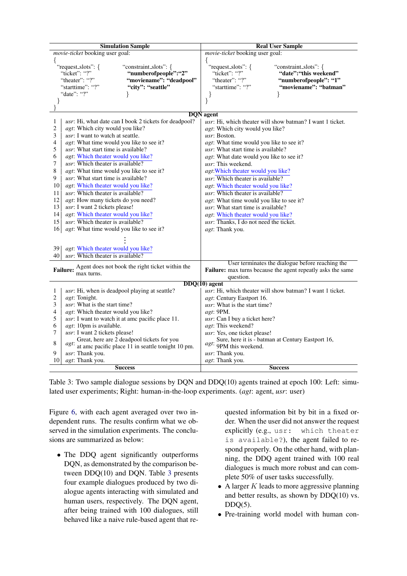| <b>Simulation Sample</b>                                                                                                                               | <b>Real User Sample</b>                                     |  |  |  |  |  |  |
|--------------------------------------------------------------------------------------------------------------------------------------------------------|-------------------------------------------------------------|--|--|--|--|--|--|
| <i>movie-ticket</i> booking user goal:                                                                                                                 | <i>movie-ticket</i> booking user goal:                      |  |  |  |  |  |  |
| ₹                                                                                                                                                      | ₹                                                           |  |  |  |  |  |  |
| "request_slots": {<br>"constraint_slots": {                                                                                                            | "request_slots": {<br>"constraint_slots": {                 |  |  |  |  |  |  |
| "ticket": "?"<br>"numberofpeople":"2"                                                                                                                  | "ticket": "?"<br>"date": "this weekend"                     |  |  |  |  |  |  |
| "theater": "?"<br>"moviename": "deadpool"                                                                                                              | "theater": "?"<br>"numberofpeople": "1"                     |  |  |  |  |  |  |
| "city": "seattle"<br>"starttime": "?"                                                                                                                  | "moviename": "batman"<br>"starttime": "?"                   |  |  |  |  |  |  |
| "date": "?"                                                                                                                                            | ł<br>ł                                                      |  |  |  |  |  |  |
| }<br>ł                                                                                                                                                 | $\}$                                                        |  |  |  |  |  |  |
|                                                                                                                                                        |                                                             |  |  |  |  |  |  |
| <b>DQN</b> agent<br>usr: Hi, which theater will show batman? I want 1 ticket.<br>$\mathbf{1}$<br>usr: Hi, what date can I book 2 tickets for deadpool? |                                                             |  |  |  |  |  |  |
| agt: Which city would you like?<br>2                                                                                                                   | agt: Which city would you like?                             |  |  |  |  |  |  |
| usr: I want to watch at seattle.<br>3                                                                                                                  | usr: Boston.                                                |  |  |  |  |  |  |
| 4<br><i>agt</i> : What time would you like to see it?                                                                                                  | <i>agt</i> : What time would you like to see it?            |  |  |  |  |  |  |
| usr: What start time is available?<br>5                                                                                                                | usr: What start time is available?                          |  |  |  |  |  |  |
| agt: Which theater would you like?<br>6                                                                                                                | agt: What date would you like to see it?                    |  |  |  |  |  |  |
| <i>usr</i> : Which theater is available?<br>7                                                                                                          | <i>usr</i> : This weekend.                                  |  |  |  |  |  |  |
| 8<br>agt: What time would you like to see it?                                                                                                          | agt: Which theater would you like?                          |  |  |  |  |  |  |
| usr: What start time is available?<br>9                                                                                                                | usr: Which theater is available?                            |  |  |  |  |  |  |
| 10<br><i>agt</i> : Which theater would you like?                                                                                                       | agt: Which theater would you like?                          |  |  |  |  |  |  |
| $usr:$ Which theater is available?<br>11                                                                                                               | usr: Which theater is available?                            |  |  |  |  |  |  |
| 12<br>agt: How many tickets do you need?                                                                                                               | agt: What time would you like to see it?                    |  |  |  |  |  |  |
| usr: I want 2 tickets please!<br>13                                                                                                                    | <i>usr</i> : What start time is available?                  |  |  |  |  |  |  |
| agt: Which theater would you like?<br>14                                                                                                               | agt: Which theater would you like?                          |  |  |  |  |  |  |
| usr: Which theater is available?<br>15                                                                                                                 | usr: Thanks, I do not need the ticket.                      |  |  |  |  |  |  |
| agt: What time would you like to see it?<br>16                                                                                                         | agt: Thank you.                                             |  |  |  |  |  |  |
|                                                                                                                                                        |                                                             |  |  |  |  |  |  |
|                                                                                                                                                        |                                                             |  |  |  |  |  |  |
| agt: Which theater would you like?<br>39                                                                                                               |                                                             |  |  |  |  |  |  |
| usr: Which theater is available?<br>40                                                                                                                 |                                                             |  |  |  |  |  |  |
| Agent does not book the right ticket within the                                                                                                        | User terminates the dialogue before reaching the            |  |  |  |  |  |  |
| <b>Failure:</b><br>max turns.                                                                                                                          | Failure: max turns because the agent repeatly asks the same |  |  |  |  |  |  |
|                                                                                                                                                        | question.<br>$DDQ(10)$ agent                                |  |  |  |  |  |  |
| usr: Hi, when is deadpool playing at seattle?<br>1                                                                                                     | usr: Hi, which theater will show batman? I want 1 ticket.   |  |  |  |  |  |  |
| $\overline{c}$<br>agt: Tonight.                                                                                                                        | agt: Century Eastport 16.                                   |  |  |  |  |  |  |
| <i>usr</i> : What is the start time?<br>3                                                                                                              | <i>usr</i> : What is the start time?                        |  |  |  |  |  |  |
| agt: Which theater would you like?<br>4                                                                                                                | agt: 9PM.                                                   |  |  |  |  |  |  |
| 5<br>usr: I want to watch it at ame pacific place 11.                                                                                                  | usr: Can I buy a ticket here?                               |  |  |  |  |  |  |
| agt: 10pm is available.<br>6                                                                                                                           | agt: This weekend?                                          |  |  |  |  |  |  |
| 7<br>usr: I want 2 tickets please!                                                                                                                     | usr: Yes, one ticket please!                                |  |  |  |  |  |  |
| Great, here are 2 deadpool tickets for you                                                                                                             | Sure, here it is - batman at Century Eastport 16,           |  |  |  |  |  |  |
| 8<br>agt:<br>at ame pacific place $11$ in seattle tonight 10 pm.                                                                                       | agt:<br>9PM this weekend.                                   |  |  |  |  |  |  |
| 9<br><i>usr</i> : Thank you.                                                                                                                           | usr: Thank you.                                             |  |  |  |  |  |  |
| agt: Thank you.<br>10                                                                                                                                  | agt: Thank you.                                             |  |  |  |  |  |  |
| <b>Success</b>                                                                                                                                         | <b>Success</b>                                              |  |  |  |  |  |  |

Table 3: Two sample dialogue sessions by DQN and DDQ(10) agents trained at epoch 100: Left: simulated user experiments; Right: human-in-the-loop experiments. (*agt*: agent, *usr*: user)

Figure [6,](#page-6-2) with each agent averaged over two independent runs. The results confirm what we observed in the simulation experiments. The conclusions are summarized as below:

• The DDQ agent significantly outperforms DQN, as demonstrated by the comparison between DDQ(10) and DQN. Table [3](#page-7-0) presents four example dialogues produced by two dialogue agents interacting with simulated and human users, respectively. The DQN agent, after being trained with 100 dialogues, still behaved like a naive rule-based agent that re<span id="page-7-0"></span>quested information bit by bit in a fixed order. When the user did not answer the request explicitly (e.g., usr: which theater is available?), the agent failed to respond properly. On the other hand, with planning, the DDQ agent trained with 100 real dialogues is much more robust and can complete 50% of user tasks successfully.

- A larger  $K$  leads to more aggressive planning and better results, as shown by DDQ(10) vs.  $DDO(5)$ .
- Pre-training world model with human con-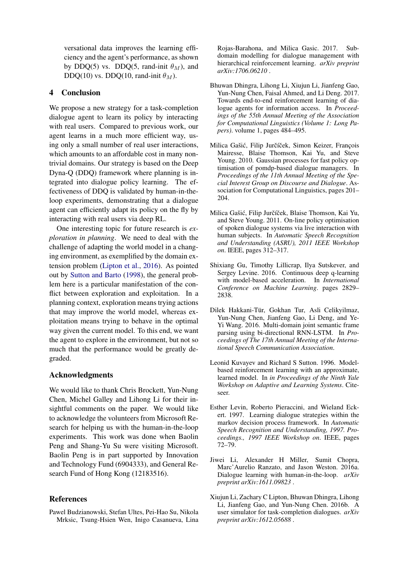versational data improves the learning efficiency and the agent's performance, as shown by DDQ(5) vs. DDQ(5, rand-init  $\theta_M$ ), and DDQ(10) vs. DDQ(10, rand-init  $\theta_M$ ).

#### 4 Conclusion

We propose a new strategy for a task-completion dialogue agent to learn its policy by interacting with real users. Compared to previous work, our agent learns in a much more efficient way, using only a small number of real user interactions, which amounts to an affordable cost in many nontrivial domains. Our strategy is based on the Deep Dyna-Q (DDQ) framework where planning is integrated into dialogue policy learning. The effectiveness of DDQ is validated by human-in-theloop experiments, demonstrating that a dialogue agent can efficiently adapt its policy on the fly by interacting with real users via deep RL.

One interesting topic for future research is *exploration in planning*. We need to deal with the challenge of adapting the world model in a changing environment, as exemplified by the domain extension problem [\(Lipton et al.,](#page-9-8) [2016\)](#page-9-8). As pointed out by [Sutton and Barto](#page-10-9) [\(1998\)](#page-10-9), the general problem here is a particular manifestation of the conflict between exploration and exploitation. In a planning context, exploration means trying actions that may improve the world model, whereas exploitation means trying to behave in the optimal way given the current model. To this end, we want the agent to explore in the environment, but not so much that the performance would be greatly degraded.

#### Acknowledgments

We would like to thank Chris Brockett, Yun-Nung Chen, Michel Galley and Lihong Li for their insightful comments on the paper. We would like to acknowledge the volunteers from Microsoft Research for helping us with the human-in-the-loop experiments. This work was done when Baolin Peng and Shang-Yu Su were visiting Microsoft. Baolin Peng is in part supported by Innovation and Technology Fund (6904333), and General Research Fund of Hong Kong (12183516).

## References

<span id="page-8-6"></span>Pawel Budzianowski, Stefan Ultes, Pei-Hao Su, Nikola Mrksic, Tsung-Hsien Wen, Inigo Casanueva, Lina Rojas-Barahona, and Milica Gasic. 2017. Subdomain modelling for dialogue management with hierarchical reinforcement learning. *arXiv preprint arXiv:1706.06210* .

- <span id="page-8-5"></span>Bhuwan Dhingra, Lihong Li, Xiujun Li, Jianfeng Gao, Yun-Nung Chen, Faisal Ahmed, and Li Deng. 2017. Towards end-to-end reinforcement learning of dialogue agents for information access. In *Proceedings of the 55th Annual Meeting of the Association for Computational Linguistics (Volume 1: Long Papers)*. volume 1, pages 484–495.
- <span id="page-8-1"></span>Milica Gašić, Filip Jurčíček, Simon Keizer, François Mairesse, Blaise Thomson, Kai Yu, and Steve Young. 2010. Gaussian processes for fast policy optimisation of pomdp-based dialogue managers. In *Proceedings of the 11th Annual Meeting of the Special Interest Group on Discourse and Dialogue*. Association for Computational Linguistics, pages 201– 204.
- <span id="page-8-2"></span>Milica Gašić, Filip Jurčíček, Blaise Thomson, Kai Yu, and Steve Young. 2011. On-line policy optimisation of spoken dialogue systems via live interaction with human subjects. In *Automatic Speech Recognition and Understanding (ASRU), 2011 IEEE Workshop on*. IEEE, pages 312–317.
- <span id="page-8-8"></span>Shixiang Gu, Timothy Lillicrap, Ilya Sutskever, and Sergey Levine. 2016. Continuous deep q-learning with model-based acceleration. In *International Conference on Machine Learning*. pages 2829– 2838.
- <span id="page-8-9"></span>Dilek Hakkani-Tür, Gokhan Tur, Asli Celikyilmaz, Yun-Nung Chen, Jianfeng Gao, Li Deng, and Ye-Yi Wang. 2016. Multi-domain joint semantic frame parsing using bi-directional RNN-LSTM. In *Proceedings of The 17th Annual Meeting of the International Speech Communication Association*.
- <span id="page-8-7"></span>Leonid Kuvayev and Richard S Sutton. 1996. Modelbased reinforcement learning with an approximate, learned model. In *in Proceedings of the Ninth Yale Workshop on Adaptive and Learning Systems*. Citeseer.
- <span id="page-8-0"></span>Esther Levin, Roberto Pieraccini, and Wieland Eckert. 1997. Learning dialogue strategies within the markov decision process framework. In *Automatic Speech Recognition and Understanding, 1997. Proceedings., 1997 IEEE Workshop on*. IEEE, pages 72–79.
- <span id="page-8-3"></span>Jiwei Li, Alexander H Miller, Sumit Chopra, Marc'Aurelio Ranzato, and Jason Weston. 2016a. Dialogue learning with human-in-the-loop. *arXiv preprint arXiv:1611.09823* .
- <span id="page-8-4"></span>Xiujun Li, Zachary C Lipton, Bhuwan Dhingra, Lihong Li, Jianfeng Gao, and Yun-Nung Chen. 2016b. A user simulator for task-completion dialogues. *arXiv preprint arXiv:1612.05688* .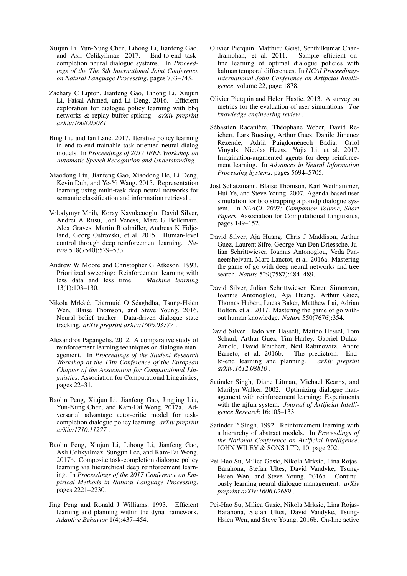- <span id="page-9-9"></span>Xuijun Li, Yun-Nung Chen, Lihong Li, Jianfeng Gao, and Asli Celikyilmaz. 2017. End-to-end taskcompletion neural dialogue systems. In *Proceedings of the The 8th International Joint Conference on Natural Language Processing*. pages 733–743.
- <span id="page-9-8"></span>Zachary C Lipton, Jianfeng Gao, Lihong Li, Xiujun Li, Faisal Ahmed, and Li Deng. 2016. Efficient exploration for dialogue policy learning with bbq networks & replay buffer spiking. *arXiv preprint arXiv:1608.05081* .
- <span id="page-9-10"></span>Bing Liu and Ian Lane. 2017. Iterative policy learning in end-to-end trainable task-oriented neural dialog models. In *Proceedings of 2017 IEEE Workshop on Automatic Speech Recognition and Understanding*.
- <span id="page-9-21"></span>Xiaodong Liu, Jianfeng Gao, Xiaodong He, Li Deng, Kevin Duh, and Ye-Yi Wang. 2015. Representation learning using multi-task deep neural networks for semantic classification and information retrieval .
- <span id="page-9-0"></span>Volodymyr Mnih, Koray Kavukcuoglu, David Silver, Andrei A Rusu, Joel Veness, Marc G Bellemare, Alex Graves, Martin Riedmiller, Andreas K Fidjeland, Georg Ostrovski, et al. 2015. Human-level control through deep reinforcement learning. *Nature* 518(7540):529–533.
- <span id="page-9-17"></span>Andrew W Moore and Christopher G Atkeson. 1993. Prioritized sweeping: Reinforcement learning with less data and less time. *Machine learning* 13(1):103–130.
- <span id="page-9-20"></span>Nikola Mrkšić, Diarmuid O Séaghdha, Tsung-Hsien Wen, Blaise Thomson, and Steve Young. 2016. Neural belief tracker: Data-driven dialogue state tracking. *arXiv preprint arXiv:1606.03777* .
- <span id="page-9-14"></span>Alexandros Papangelis. 2012. A comparative study of reinforcement learning techniques on dialogue management. In *Proceedings of the Student Research Workshop at the 13th Conference of the European Chapter of the Association for Computational Linguistics*. Association for Computational Linguistics, pages 22–31.
- <span id="page-9-12"></span>Baolin Peng, Xiujun Li, Jianfeng Gao, Jingjing Liu, Yun-Nung Chen, and Kam-Fai Wong. 2017a. Adversarial advantage actor-critic model for taskcompletion dialogue policy learning. *arXiv preprint arXiv:1710.11277* .
- <span id="page-9-11"></span>Baolin Peng, Xiujun Li, Lihong Li, Jianfeng Gao, Asli Celikyilmaz, Sungjin Lee, and Kam-Fai Wong. 2017b. Composite task-completion dialogue policy learning via hierarchical deep reinforcement learning. In *Proceedings of the 2017 Conference on Empirical Methods in Natural Language Processing*. pages 2221–2230.
- <span id="page-9-16"></span>Jing Peng and Ronald J Williams. 1993. Efficient learning and planning within the dyna framework. *Adaptive Behavior* 1(4):437–454.
- <span id="page-9-4"></span>Olivier Pietquin, Matthieu Geist, Senthilkumar Chandramohan, et al. 2011. Sample efficient online learning of optimal dialogue policies with kalman temporal differences. In *IJCAI Proceedings-International Joint Conference on Artificial Intelligence*. volume 22, page 1878.
- <span id="page-9-13"></span>Olivier Pietquin and Helen Hastie. 2013. A survey on metrics for the evaluation of user simulations. *The knowledge engineering review* .
- <span id="page-9-19"></span>Sébastien Racanière, Théophane Weber, David Reichert, Lars Buesing, Arthur Guez, Danilo Jimenez Rezende, Adrià Puigdomènech Badia, Oriol Vinyals, Nicolas Heess, Yujia Li, et al. 2017. Imagination-augmented agents for deep reinforcement learning. In *Advances in Neural Information Processing Systems*. pages 5694–5705.
- <span id="page-9-6"></span>Jost Schatzmann, Blaise Thomson, Karl Weilhammer, Hui Ye, and Steve Young. 2007. Agenda-based user simulation for bootstrapping a pomdp dialogue system. In *NAACL 2007; Companion Volume, Short Papers*. Association for Computational Linguistics, pages 149–152.
- <span id="page-9-1"></span>David Silver, Aja Huang, Chris J Maddison, Arthur Guez, Laurent Sifre, George Van Den Driessche, Julian Schrittwieser, Ioannis Antonoglou, Veda Panneershelvam, Marc Lanctot, et al. 2016a. Mastering the game of go with deep neural networks and tree search. *Nature* 529(7587):484–489.
- <span id="page-9-2"></span>David Silver, Julian Schrittwieser, Karen Simonyan, Ioannis Antonoglou, Aja Huang, Arthur Guez, Thomas Hubert, Lucas Baker, Matthew Lai, Adrian Bolton, et al. 2017. Mastering the game of go without human knowledge. *Nature* 550(7676):354.
- <span id="page-9-18"></span>David Silver, Hado van Hasselt, Matteo Hessel, Tom Schaul, Arthur Guez, Tim Harley, Gabriel Dulac-Arnold, David Reichert, Neil Rabinowitz, Andre Barreto, et al. 2016b. The predictron: Endto-end learning and planning. *arXiv preprint arXiv:1612.08810* .
- <span id="page-9-3"></span>Satinder Singh, Diane Litman, Michael Kearns, and Marilyn Walker. 2002. Optimizing dialogue management with reinforcement learning: Experiments with the njfun system. *Journal of Artificial Intelligence Research* 16:105–133.
- <span id="page-9-15"></span>Satinder P Singh. 1992. Reinforcement learning with a hierarchy of abstract models. In *Proceedings of the National Conference on Artificial Intelligence*. JOHN WILEY & SONS LTD, 10, page 202.
- <span id="page-9-7"></span>Pei-Hao Su, Milica Gasic, Nikola Mrksic, Lina Rojas-Barahona, Stefan Ultes, David Vandyke, Tsung-Hsien Wen, and Steve Young. 2016a. Continuously learning neural dialogue management. *arXiv preprint arXiv:1606.02689* .
- <span id="page-9-5"></span>Pei-Hao Su, Milica Gasic, Nikola Mrksic, Lina Rojas-Barahona, Stefan Ultes, David Vandyke, Tsung-Hsien Wen, and Steve Young. 2016b. On-line active